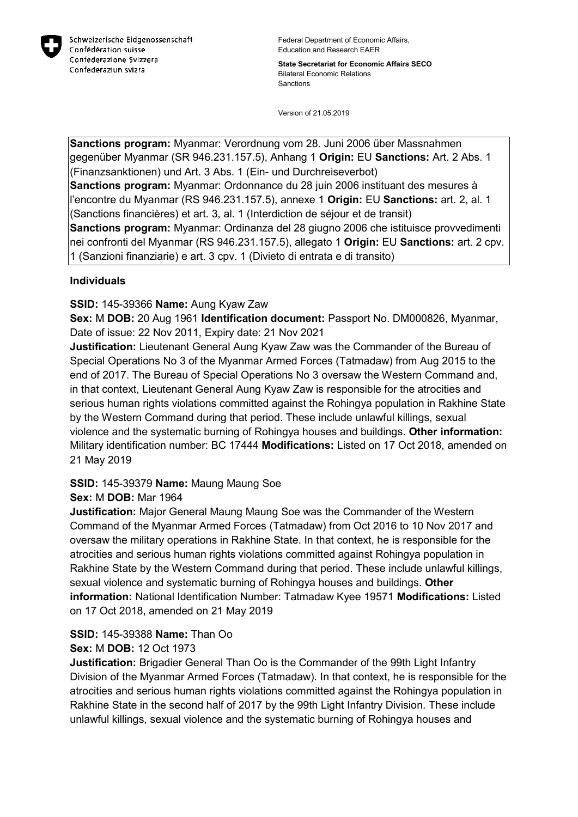

**State Secretariat for Economic Affairs SECO** Bilateral Economic Relations Sanctions

Version of 21.05.2019

**Sanctions program:** Myanmar: Verordnung vom 28. Juni 2006 über Massnahmen gegenüber Myanmar (SR 946.231.157.5), Anhang 1 **Origin:** EU **Sanctions:** Art. 2 Abs. 1 (Finanzsanktionen) und Art. 3 Abs. 1 (Ein- und Durchreiseverbot) **Sanctions program:** Myanmar: Ordonnance du 28 juin 2006 instituant des mesures à l'encontre du Myanmar (RS 946.231.157.5), annexe 1 **Origin:** EU **Sanctions:** art. 2, al. 1 (Sanctions financières) et art. 3, al. 1 (Interdiction de séjour et de transit) **Sanctions program:** Myanmar: Ordinanza del 28 giugno 2006 che istituisce provvedimenti nei confronti del Myanmar (RS 946.231.157.5), allegato 1 **Origin:** EU **Sanctions:** art. 2 cpv. 1 (Sanzioni finanziarie) e art. 3 cpv. 1 (Divieto di entrata e di transito)

#### **Individuals**

# **SSID:** 145-39366 **Name:** Aung Kyaw Zaw

**Sex:** M **DOB:** 20 Aug 1961 **Identification document:** Passport No. DM000826, Myanmar, Date of issue: 22 Nov 2011, Expiry date: 21 Nov 2021

**Justification:** Lieutenant General Aung Kyaw Zaw was the Commander of the Bureau of Special Operations No 3 of the Myanmar Armed Forces (Tatmadaw) from Aug 2015 to the end of 2017. The Bureau of Special Operations No 3 oversaw the Western Command and, in that context, Lieutenant General Aung Kyaw Zaw is responsible for the atrocities and serious human rights violations committed against the Rohingya population in Rakhine State by the Western Command during that period. These include unlawful killings, sexual violence and the systematic burning of Rohingya houses and buildings. **Other information:** Military identification number: BC 17444 **Modifications:** Listed on 17 Oct 2018, amended on 21 May 2019

# **SSID:** 145-39379 **Name:** Maung Maung Soe

# **Sex:** M **DOB:** Mar 1964

**Justification:** Major General Maung Maung Soe was the Commander of the Western Command of the Myanmar Armed Forces (Tatmadaw) from Oct 2016 to 10 Nov 2017 and oversaw the military operations in Rakhine State. In that context, he is responsible for the atrocities and serious human rights violations committed against Rohingya population in Rakhine State by the Western Command during that period. These include unlawful killings, sexual violence and systematic burning of Rohingya houses and buildings. **Other information:** National Identification Number: Tatmadaw Kyee 19571 **Modifications:** Listed on 17 Oct 2018, amended on 21 May 2019

# **SSID:** 145-39388 **Name:** Than Oo

# **Sex:** M **DOB:** 12 Oct 1973

**Justification:** Brigadier General Than Oo is the Commander of the 99th Light Infantry Division of the Myanmar Armed Forces (Tatmadaw). In that context, he is responsible for the atrocities and serious human rights violations committed against the Rohingya population in Rakhine State in the second half of 2017 by the 99th Light Infantry Division. These include unlawful killings, sexual violence and the systematic burning of Rohingya houses and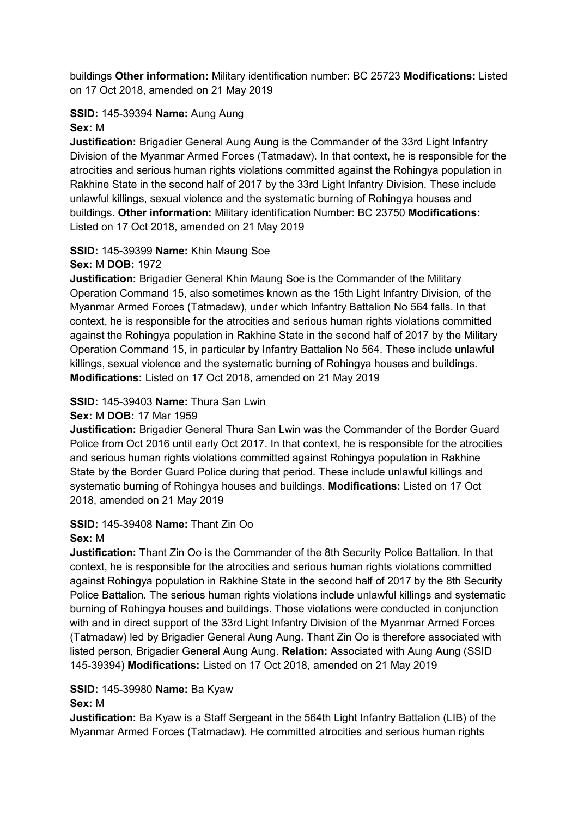buildings **Other information:** Military identification number: BC 25723 **Modifications:** Listed on 17 Oct 2018, amended on 21 May 2019

# **SSID:** 145-39394 **Name:** Aung Aung **Sex:** M

**Justification:** Brigadier General Aung Aung is the Commander of the 33rd Light Infantry Division of the Myanmar Armed Forces (Tatmadaw). In that context, he is responsible for the atrocities and serious human rights violations committed against the Rohingya population in Rakhine State in the second half of 2017 by the 33rd Light Infantry Division. These include unlawful killings, sexual violence and the systematic burning of Rohingya houses and buildings. **Other information:** Military identification Number: BC 23750 **Modifications:**  Listed on 17 Oct 2018, amended on 21 May 2019

# **SSID:** 145-39399 **Name:** Khin Maung Soe

#### **Sex:** M **DOB:** 1972

**Justification:** Brigadier General Khin Maung Soe is the Commander of the Military Operation Command 15, also sometimes known as the 15th Light Infantry Division, of the Myanmar Armed Forces (Tatmadaw), under which Infantry Battalion No 564 falls. In that context, he is responsible for the atrocities and serious human rights violations committed against the Rohingya population in Rakhine State in the second half of 2017 by the Military Operation Command 15, in particular by Infantry Battalion No 564. These include unlawful killings, sexual violence and the systematic burning of Rohingya houses and buildings. **Modifications:** Listed on 17 Oct 2018, amended on 21 May 2019

# **SSID:** 145-39403 **Name:** Thura San Lwin

# **Sex:** M **DOB:** 17 Mar 1959

**Justification:** Brigadier General Thura San Lwin was the Commander of the Border Guard Police from Oct 2016 until early Oct 2017. In that context, he is responsible for the atrocities and serious human rights violations committed against Rohingya population in Rakhine State by the Border Guard Police during that period. These include unlawful killings and systematic burning of Rohingya houses and buildings. **Modifications:** Listed on 17 Oct 2018, amended on 21 May 2019

#### **SSID:** 145-39408 **Name:** Thant Zin Oo **Sex:** M

**Justification:** Thant Zin Oo is the Commander of the 8th Security Police Battalion. In that context, he is responsible for the atrocities and serious human rights violations committed against Rohingya population in Rakhine State in the second half of 2017 by the 8th Security Police Battalion. The serious human rights violations include unlawful killings and systematic burning of Rohingya houses and buildings. Those violations were conducted in conjunction with and in direct support of the 33rd Light Infantry Division of the Myanmar Armed Forces (Tatmadaw) led by Brigadier General Aung Aung. Thant Zin Oo is therefore associated with listed person, Brigadier General Aung Aung. **Relation:** Associated with Aung Aung (SSID 145-39394) **Modifications:** Listed on 17 Oct 2018, amended on 21 May 2019

# **SSID:** 145-39980 **Name:** Ba Kyaw

# **Sex:** M

**Justification:** Ba Kyaw is a Staff Sergeant in the 564th Light Infantry Battalion (LIB) of the Myanmar Armed Forces (Tatmadaw). He committed atrocities and serious human rights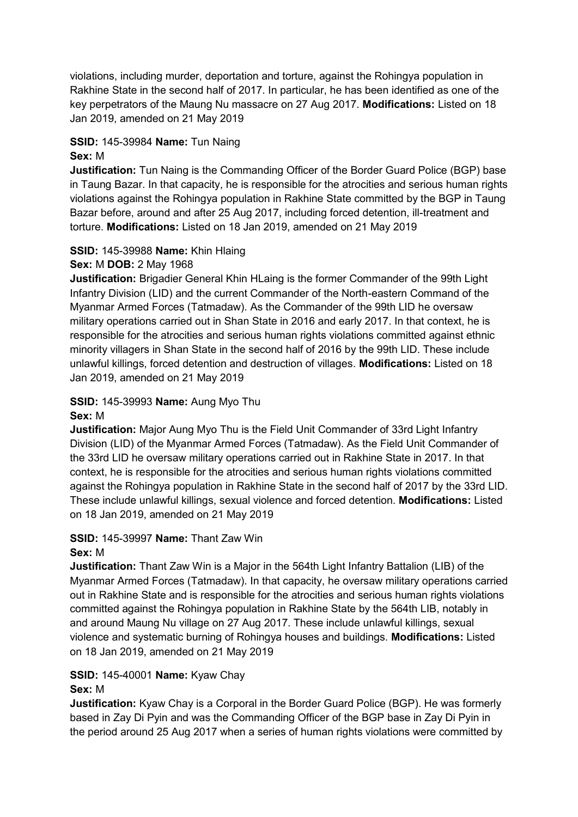violations, including murder, deportation and torture, against the Rohingya population in Rakhine State in the second half of 2017. In particular, he has been identified as one of the key perpetrators of the Maung Nu massacre on 27 Aug 2017. **Modifications:** Listed on 18 Jan 2019, amended on 21 May 2019

# **SSID:** 145-39984 **Name:** Tun Naing

#### **Sex:** M

**Justification:** Tun Naing is the Commanding Officer of the Border Guard Police (BGP) base in Taung Bazar. In that capacity, he is responsible for the atrocities and serious human rights violations against the Rohingya population in Rakhine State committed by the BGP in Taung Bazar before, around and after 25 Aug 2017, including forced detention, ill-treatment and torture. **Modifications:** Listed on 18 Jan 2019, amended on 21 May 2019

# **SSID:** 145-39988 **Name:** Khin Hlaing

# **Sex:** M **DOB:** 2 May 1968

**Justification:** Brigadier General Khin HLaing is the former Commander of the 99th Light Infantry Division (LID) and the current Commander of the North-eastern Command of the Myanmar Armed Forces (Tatmadaw). As the Commander of the 99th LID he oversaw military operations carried out in Shan State in 2016 and early 2017. In that context, he is responsible for the atrocities and serious human rights violations committed against ethnic minority villagers in Shan State in the second half of 2016 by the 99th LID. These include unlawful killings, forced detention and destruction of villages. **Modifications:** Listed on 18 Jan 2019, amended on 21 May 2019

#### **SSID:** 145-39993 **Name:** Aung Myo Thu **Sex:** M

**Justification:** Major Aung Myo Thu is the Field Unit Commander of 33rd Light Infantry Division (LID) of the Myanmar Armed Forces (Tatmadaw). As the Field Unit Commander of the 33rd LID he oversaw military operations carried out in Rakhine State in 2017. In that context, he is responsible for the atrocities and serious human rights violations committed against the Rohingya population in Rakhine State in the second half of 2017 by the 33rd LID. These include unlawful killings, sexual violence and forced detention. **Modifications:** Listed on 18 Jan 2019, amended on 21 May 2019

#### **SSID:** 145-39997 **Name:** Thant Zaw Win **Sex:** M

**Justification:** Thant Zaw Win is a Major in the 564th Light Infantry Battalion (LIB) of the Myanmar Armed Forces (Tatmadaw). In that capacity, he oversaw military operations carried out in Rakhine State and is responsible for the atrocities and serious human rights violations committed against the Rohingya population in Rakhine State by the 564th LIB, notably in and around Maung Nu village on 27 Aug 2017. These include unlawful killings, sexual violence and systematic burning of Rohingya houses and buildings. **Modifications:** Listed on 18 Jan 2019, amended on 21 May 2019

#### **SSID:** 145-40001 **Name:** Kyaw Chay **Sex:** M

**Justification:** Kyaw Chay is a Corporal in the Border Guard Police (BGP). He was formerly based in Zay Di Pyin and was the Commanding Officer of the BGP base in Zay Di Pyin in the period around 25 Aug 2017 when a series of human rights violations were committed by